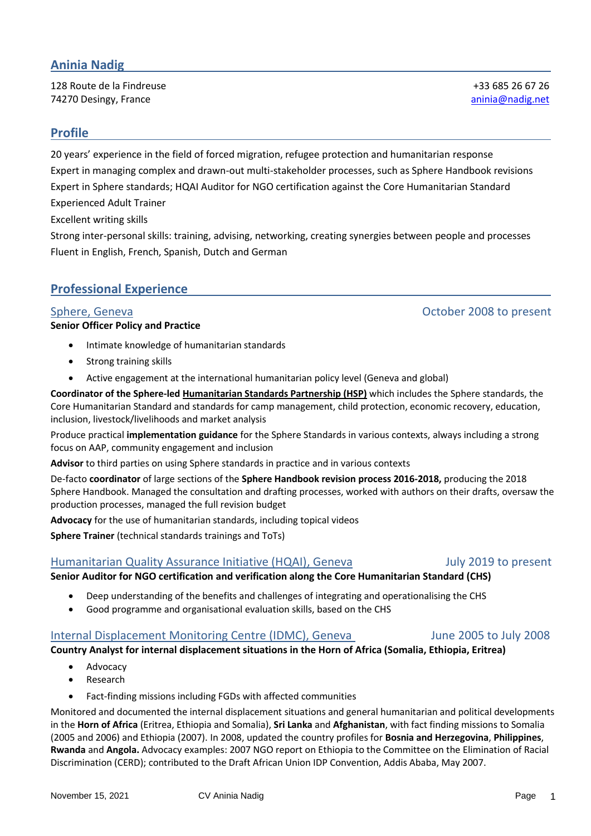# **Aninia Nadig**

128 Route de la Findreuse +33 685 26 67 26 **74270 Desingy, France** and *Company* and *Company* aninia aninia aninia aninia aninia aninia aninia aninia aninia aninia aninia aninia aninia aninia aninia aninia aninia aninia aninia aninia aninia aninia aninia aninia an

## **Profile**

20 years' experience in the field of forced migration, refugee protection and humanitarian response Expert in managing complex and drawn-out multi-stakeholder processes, such as Sphere Handbook revisions Expert in Sphere standards; HQAI Auditor for NGO certification against the Core Humanitarian Standard Experienced Adult Trainer

Excellent writing skills

Strong inter-personal skills: training, advising, networking, creating synergies between people and processes Fluent in English, French, Spanish, Dutch and German

## **Professional Experience**

#### **Senior Officer Policy and Practice**

- Intimate knowledge of humanitarian standards
- Strong training skills
- Active engagement at the international humanitarian policy level (Geneva and global)

**Coordinator of the Sphere-led [Humanitarian Standards Partnership \(HSP\)](https://spherestandards.org/humanitarian-standards/standards-partnership/)** which includes the Sphere standards, the Core Humanitarian Standard and standards for camp management, child protection, economic recovery, education, inclusion, livestock/livelihoods and market analysis

Produce practical **implementation guidance** for the Sphere Standards in various contexts, always including a strong focus on AAP, community engagement and inclusion

**Advisor** to third parties on using Sphere standards in practice and in various contexts

De-facto **coordinator** of large sections of the **Sphere Handbook revision process 2016-2018,** producing the 2018 Sphere Handbook. Managed the consultation and drafting processes, worked with authors on their drafts, oversaw the production processes, managed the full revision budget

**Advocacy** for the use of humanitarian standards, including topical videos

**Sphere Trainer** (technical standards trainings and ToTs)

### Humanitarian Quality Assurance Initiative (HQAI), Geneva Fully 2019 to present

**Senior Auditor for NGO certification and verification along the Core Humanitarian Standard (CHS)**

- Deep understanding of the benefits and challenges of integrating and operationalising the CHS
- Good programme and organisational evaluation skills, based on the CHS

### Internal Displacement Monitoring Centre (IDMC), Geneva June 2005 to July 2008

**Country Analyst for internal displacement situations in the Horn of Africa (Somalia, Ethiopia, Eritrea)**

- Advocacy
- **Research**
- Fact-finding missions including FGDs with affected communities

Monitored and documented the internal displacement situations and general humanitarian and political developments in the **Horn of Africa** (Eritrea, Ethiopia and Somalia), **Sri Lanka** and **Afghanistan**, with fact finding missions to Somalia (2005 and 2006) and Ethiopia (2007). In 2008, updated the country profiles for **Bosnia and Herzegovina**, **Philippines**, **Rwanda** and **Angola.** Advocacy examples: 2007 NGO report on Ethiopia to the Committee on the Elimination of Racial Discrimination (CERD); contributed to the Draft African Union IDP Convention, Addis Ababa, May 2007.

# Sphere, Geneva October 2008 to present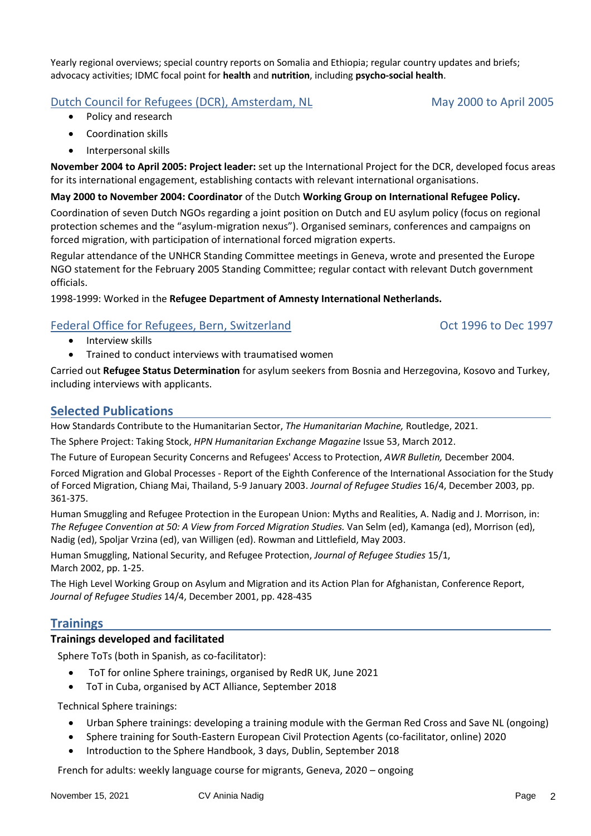Yearly regional overviews; special country reports on Somalia and Ethiopia; regular country updates and briefs; advocacy activities; IDMC focal point for **health** and **nutrition**, including **psycho-social health**.

# Dutch Council for Refugees (DCR), Amsterdam, NL May 2000 to April 2005

- Policy and research
- Coordination skills
- Interpersonal skills

**November 2004 to April 2005: Project leader:** set up the International Project for the DCR, developed focus areas for its international engagement, establishing contacts with relevant international organisations.

### **May 2000 to November 2004: Coordinator** of the Dutch **Working Group on International Refugee Policy.**

Coordination of seven Dutch NGOs regarding a joint position on Dutch and EU asylum policy (focus on regional protection schemes and the "asylum-migration nexus"). Organised seminars, conferences and campaigns on forced migration, with participation of international forced migration experts.

Regular attendance of the UNHCR Standing Committee meetings in Geneva, wrote and presented the Europe NGO statement for the February 2005 Standing Committee; regular contact with relevant Dutch government officials.

1998-1999: Worked in the **Refugee Department of Amnesty International Netherlands.**

## Federal Office for Refugees, Bern, Switzerland Content Content Content Oct 1996 to Dec 1997

- Interview skills
- Trained to conduct interviews with traumatised women

Carried out **Refugee Status Determination** for asylum seekers from Bosnia and Herzegovina, Kosovo and Turkey, including interviews with applicants.

# **Selected Publications**

How Standards Contribute to the Humanitarian Sector, *The Humanitarian Machine,* Routledge, 2021.

The Sphere Project: Taking Stock, *HPN Humanitarian Exchange Magazine* Issue 53, March 2012.

The Future of European Security Concerns and Refugees' Access to Protection, *AWR Bulletin,* December 2004*.*

Forced Migration and Global Processes - Report of the Eighth Conference of the International Association for the Study of Forced Migration, Chiang Mai, Thailand, 5-9 January 2003. *Journal of Refugee Studies* 16/4, December 2003, pp. 361-375.

Human Smuggling and Refugee Protection in the European Union: Myths and Realities, A. Nadig and J. Morrison, in: *The Refugee Convention at 50: A View from Forced Migration Studies.* Van Selm (ed), Kamanga (ed), Morrison (ed), Nadig (ed), Spoljar Vrzina (ed), van Willigen (ed). Rowman and Littlefield, May 2003.

Human Smuggling, National Security, and Refugee Protection, *Journal of Refugee Studies* 15/1, March 2002, pp. 1-25.

The High Level Working Group on Asylum and Migration and its Action Plan for Afghanistan, Conference Report, *Journal of Refugee Studies* 14/4, December 2001, pp. 428-435

# **Trainings**

## **Trainings developed and facilitated**

Sphere ToTs (both in Spanish, as co-facilitator):

- ToT for online Sphere trainings, organised by RedR UK, June 2021
- ToT in Cuba, organised by ACT Alliance, September 2018

Technical Sphere trainings:

- Urban Sphere trainings: developing a training module with the German Red Cross and Save NL (ongoing)
- Sphere training for South-Eastern European Civil Protection Agents (co-facilitator, online) 2020
- Introduction to the Sphere Handbook, 3 days, Dublin, September 2018

French for adults: weekly language course for migrants, Geneva, 2020 – ongoing